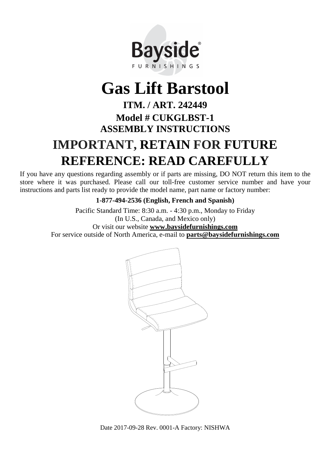

# **Gas Lift Barstool**

## **ITM. / ART. 242449 Model # CUKGLBST-1 ASSEMBLY INSTRUCTIONS**

## **IMPORTANT, RETAIN FOR FUTURE REFERENCE: READ CAREFULLY**

If you have any questions regarding assembly or if parts are missing, DO NOT return this item to the store where it was purchased. Please call our toll-free customer service number and have your instructions and parts list ready to provide the model name, part name or factory number:

**1-877-494-2536 (English, French and Spanish)** 

Pacific Standard Time: 8:30 a.m. - 4:30 p.m., Monday to Friday (In U.S., Canada, and Mexico only) Or visit our website **www.baysidefurnishings.com** For service outside of North America, e-mail to **parts@baysidefurnishings.com** 



Date 2017-09-28 Rev. 0001-A Factory: NISHWA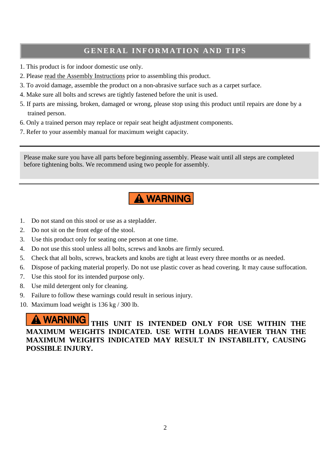#### **GENERAL INFORMATION AND TIPS**

1. This product is for indoor domestic use only.

I

- 2. Please read the Assembly Instructions prior to assembling this product.
- 3. To avoid damage, assemble the product on a non-abrasive surface such as a carpet surface.
- 4. Make sure all bolts and screws are tightly fastened before the unit is used.
- 5. If parts are missing, broken, damaged or wrong, please stop using this product until repairs are done by a trained person.
- 6. Only a trained person may replace or repair seat height adjustment components.
- 7. Refer to your assembly manual for maximum weight capacity.

Please make sure you have all parts before beginning assembly. Please wait until all steps are completed before tightening bolts. We recommend using two people for assembly.

## A WARNING

- 1. Do not stand on this stool or use as a stepladder.
- 2. Do not sit on the front edge of the stool.
- 3. Use this product only for seating one person at one time.
- 4. Do not use this stool unless all bolts, screws and knobs are firmly secured.
- 5. Check that all bolts, screws, brackets and knobs are tight at least every three months or as needed.
- 6. Dispose of packing material properly. Do not use plastic cover as head covering. It may cause suffocation.
- 7. Use this stool for its intended purpose only.
- 8. Use mild detergent only for cleaning.
- 9. Failure to follow these warnings could result in serious injury.
- 10. Maximum load weight is 136 kg / 300 lb.

**A WARNING** THIS UNIT IS INTENDED ONLY FOR USE WITHIN THE **MAXIMUM WEIGHTS INDICATED. USE WITH LOADS HEAVIER THAN THE MAXIMUM WEIGHTS INDICATED MAY RESULT IN INSTABILITY, CAUSING POSSIBLE INJURY.**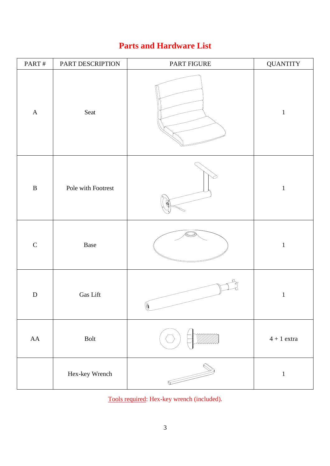## **Parts and Hardware List**

| PART#        | PART DESCRIPTION                                                                                                                                                                                                                                                                                                                                                                                                                                                                                                                                                                                                                        | PART FIGURE                                                                                                                                                                                                                                                                                                                                         | <b>QUANTITY</b> |
|--------------|-----------------------------------------------------------------------------------------------------------------------------------------------------------------------------------------------------------------------------------------------------------------------------------------------------------------------------------------------------------------------------------------------------------------------------------------------------------------------------------------------------------------------------------------------------------------------------------------------------------------------------------------|-----------------------------------------------------------------------------------------------------------------------------------------------------------------------------------------------------------------------------------------------------------------------------------------------------------------------------------------------------|-----------------|
| $\mathbf A$  | Seat                                                                                                                                                                                                                                                                                                                                                                                                                                                                                                                                                                                                                                    |                                                                                                                                                                                                                                                                                                                                                     | $\,1$           |
| $\, {\bf B}$ | Pole with Footrest                                                                                                                                                                                                                                                                                                                                                                                                                                                                                                                                                                                                                      |                                                                                                                                                                                                                                                                                                                                                     | $\mathbf{1}$    |
| $\mathsf C$  | $\operatorname*{Base}% \left( X\right) \equiv\operatorname*{Base}% \left( X\right) \equiv\operatorname*{Base}% \left( X\right) \equiv\operatorname*{Base}\left( X\right) \equiv\operatorname*{Base}% \left( X\right) \equiv\operatorname*{Base}\left( X\right) \equiv\operatorname*{Base}\left( X\right) \equiv\operatorname*{Base}\left( X\right) \equiv\operatorname*{Base}% \left( X\right) \equiv\operatorname*{Base}\left( X\right) \equiv\operatorname*{Base}\left( X\right) \equiv\operatorname*{Base}\left( X\right) \equiv\operatorname*{Base}\left( X\right) \equiv\operatorname*{Base}\left( X\right) \equiv\operatorname*{$ |                                                                                                                                                                                                                                                                                                                                                     | $\,1$           |
| ${\bf D}$    | $\rm Gas$ Lift                                                                                                                                                                                                                                                                                                                                                                                                                                                                                                                                                                                                                          | Ó                                                                                                                                                                                                                                                                                                                                                   | $\mathbf{1}$    |
| AA           | Bolt                                                                                                                                                                                                                                                                                                                                                                                                                                                                                                                                                                                                                                    | MMMMM                                                                                                                                                                                                                                                                                                                                               | $4 + 1$ extra   |
|              | Hex-key Wrench                                                                                                                                                                                                                                                                                                                                                                                                                                                                                                                                                                                                                          | $\begin{picture}(20,20) \put(0,0){\line(1,0){10}} \put(15,0){\line(1,0){10}} \put(15,0){\line(1,0){10}} \put(15,0){\line(1,0){10}} \put(15,0){\line(1,0){10}} \put(15,0){\line(1,0){10}} \put(15,0){\line(1,0){10}} \put(15,0){\line(1,0){10}} \put(15,0){\line(1,0){10}} \put(15,0){\line(1,0){10}} \put(15,0){\line(1,0){10}} \put(15,0){\line(1$ | $\mathbf{1}$    |

Tools required: Hex-key wrench (included).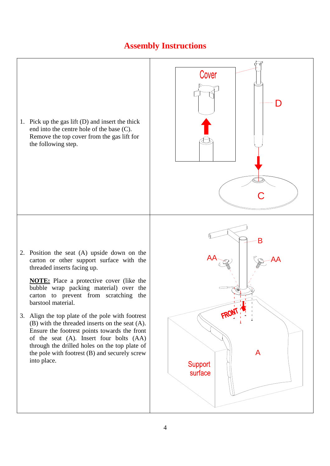## **Assembly Instructions**

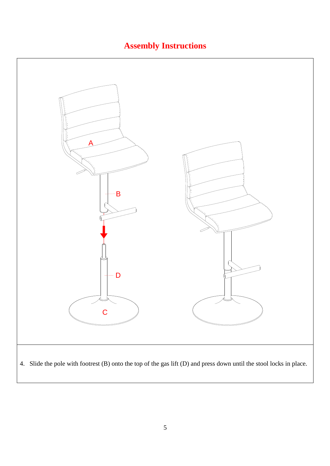## **Assembly Instructions**

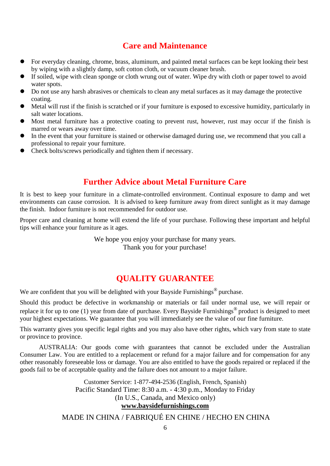## **Care and Maintenance**

- For everyday cleaning, chrome, brass, aluminum, and painted metal surfaces can be kept looking their best by wiping with a slightly damp, soft cotton cloth, or vacuum cleaner brush.
- If soiled, wipe with clean sponge or cloth wrung out of water. Wipe dry with cloth or paper towel to avoid water spots.
- Do not use any harsh abrasives or chemicals to clean any metal surfaces as it may damage the protective coating.
- Metal will rust if the finish is scratched or if your furniture is exposed to excessive humidity, particularly in salt water locations.
- Most metal furniture has a protective coating to prevent rust, however, rust may occur if the finish is marred or wears away over time.
- In the event that your furniture is stained or otherwise damaged during use, we recommend that you call a professional to repair your furniture.
- Check bolts/screws periodically and tighten them if necessary.

#### **Further Advice about Metal Furniture Care**

It is best to keep your furniture in a climate-controlled environment. Continual exposure to damp and wet environments can cause corrosion. It is advised to keep furniture away from direct sunlight as it may damage the finish. Indoor furniture is not recommended for outdoor use.

Proper care and cleaning at home will extend the life of your purchase. Following these important and helpful tips will enhance your furniture as it ages.

> We hope you enjoy your purchase for many years. Thank you for your purchase!

## **QUALITY GUARANTEE**

We are confident that you will be delighted with your Bayside Furnishings<sup>®</sup> purchase.

Should this product be defective in workmanship or materials or fail under normal use, we will repair or replace it for up to one (1) year from date of purchase. Every Bayside Furnishings® product is designed to meet your highest expectations. We guarantee that you will immediately see the value of our fine furniture.

This warranty gives you specific legal rights and you may also have other rights, which vary from state to state or province to province.

AUSTRALIA: Our goods come with guarantees that cannot be excluded under the Australian Consumer Law. You are entitled to a replacement or refund for a major failure and for compensation for any other reasonably foreseeable loss or damage. You are also entitled to have the goods repaired or replaced if the goods fail to be of acceptable quality and the failure does not amount to a major failure.

> Customer Service: 1-877-494-2536 (English, French, Spanish) Pacific Standard Time: 8:30 a.m. - 4:30 p.m., Monday to Friday (In U.S., Canada, and Mexico only) **www.baysidefurnishings.com**

MADE IN CHINA / FABRIQUÉ EN CHINE / HECHO EN CHINA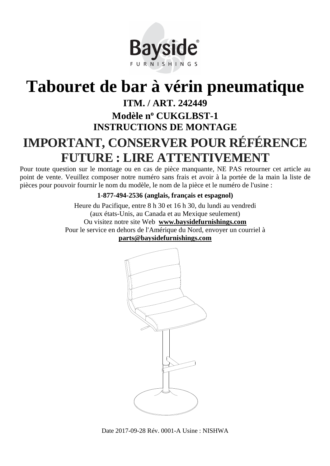

# **Tabouret de bar à vérin pneumatique**

## **ITM. / ART. 242449 Modèle n<sup>o</sup> CUKGLBST-1 INSTRUCTIONS DE MONTAGE**

## **IMPORTANT, CONSERVER POUR RÉFÉRENCE FUTURE : LIRE ATTENTIVEMENT**

Pour toute question sur le montage ou en cas de pièce manquante, NE PAS retourner cet article au point de vente. Veuillez composer notre numéro sans frais et avoir à la portée de la main la liste de pièces pour pouvoir fournir le nom du modèle, le nom de la pièce et le numéro de l'usine :

#### **1-877-494-2536 (anglais, français et espagnol)**

Heure du Pacifique, entre 8 h 30 et 16 h 30, du lundi au vendredi (aux états-Unis, au Canada et au Mexique seulement) Ou visitez notre site Web **www.baysidefurnishings.com** Pour le service en dehors de l'Amérique du Nord, envoyer un courriel à **parts@baysidefurnishings.com** 



Date 2017-09-28 Rév. 0001-A Usine : NISHWA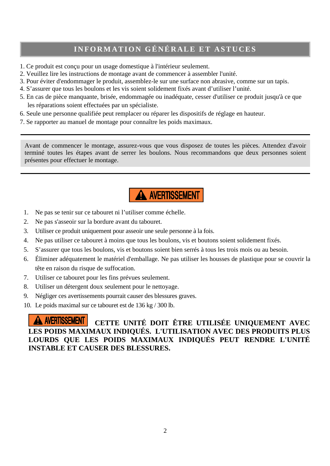## **INFORMATION GÉNÉRALE ET ASTUCES**

1. Ce produit est conçu pour un usage domestique à l'intérieur seulement.

I

- 2. Veuillez lire les instructions de montage avant de commencer à assembler l'unité.
- 3. Pour éviter d'endommager le produit, assemblez-le sur une surface non abrasive, comme sur un tapis.
- 4. S'assurer que tous les boulons et les vis soient solidement fixés avant d'utiliser l'unité.
- 5. En cas de pièce manquante, brisée, endommagée ou inadéquate, cesser d'utiliser ce produit jusqu'à ce que les réparations soient effectuées par un spécialiste.
- 6. Seule une personne qualifiée peut remplacer ou réparer les dispositifs de réglage en hauteur.
- 7. Se rapporter au manuel de montage pour connaître les poids maximaux.

Avant de commencer le montage, assurez-vous que vous disposez de toutes les pièces. Attendez d'avoir terminé toutes les étapes avant de serrer les boulons. Nous recommandons que deux personnes soient présentes pour effectuer le montage.

## **A AVERTISSEMENT**

- 1. Ne pas se tenir sur ce tabouret ni l'utiliser comme échelle.
- 2. Ne pas s'asseoir sur la bordure avant du tabouret.
- 3. Utiliser ce produit uniquement pour asseoir une seule personne à la fois.
- 4. Ne pas utiliser ce tabouret à moins que tous les boulons, vis et boutons soient solidement fixés.
- 5. S'assurer que tous les boulons, vis et boutons soient bien serrés à tous les trois mois ou au besoin.
- 6. Éliminer adéquatement le matériel d'emballage. Ne pas utiliser les housses de plastique pour se couvrir la tête en raison du risque de suffocation.
- 7. Utiliser ce tabouret pour les fins prévues seulement.
- 8. Utiliser un détergent doux seulement pour le nettoyage.
- 9. Négliger ces avertissements pourrait causer des blessures graves.
- 10. Le poids maximal sur ce tabouret est de 136 kg / 300 lb.

**A AVERTISSEMENT** CETTE UNITÉ DOIT ÊTRE UTILISÉE UNIQUEMENT AVEC **LES POIDS MAXIMAUX INDIQUÉS. L'UTILISATION AVEC DES PRODUITS PLUS LOURDS QUE LES POIDS MAXIMAUX INDIQUÉS PEUT RENDRE L'UNITÉ INSTABLE ET CAUSER DES BLESSURES.**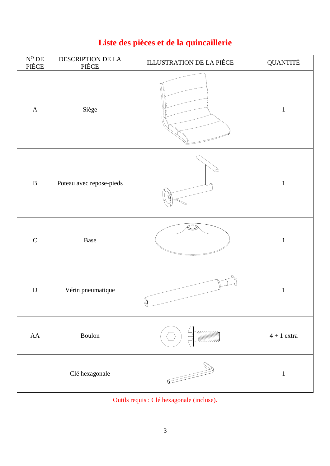## **Liste des pièces et de la quincaillerie**

| $\frac{\text{N}^0\,\text{DE}}{\text{PIÈCE}}$ | DESCRIPTION DE LA<br>PIÈCE | <b>ILLUSTRATION DE LA PIÈCE</b>                                                                                                                                                                                                                                                                                                                                                                                                                          | QUANTITÉ      |
|----------------------------------------------|----------------------------|----------------------------------------------------------------------------------------------------------------------------------------------------------------------------------------------------------------------------------------------------------------------------------------------------------------------------------------------------------------------------------------------------------------------------------------------------------|---------------|
| $\mathbf A$                                  | Siège                      |                                                                                                                                                                                                                                                                                                                                                                                                                                                          | $\,1$         |
| $\, {\bf B}$                                 | Poteau avec repose-pieds   |                                                                                                                                                                                                                                                                                                                                                                                                                                                          | $\mathbf 1$   |
| $\mathbf C$                                  | Base                       |                                                                                                                                                                                                                                                                                                                                                                                                                                                          | $\mathbf 1$   |
| ${\bf D}$                                    | Vérin pneumatique          | $\bigcircled{0}$                                                                                                                                                                                                                                                                                                                                                                                                                                         | $\mathbf{1}$  |
| AA                                           | Boulon                     |                                                                                                                                                                                                                                                                                                                                                                                                                                                          | $4 + 1$ extra |
|                                              | Clé hexagonale             | $\frac{1}{\sqrt{2\pi}}\left( \frac{1}{\sqrt{2\pi}}\right) \left( \frac{1}{\sqrt{2\pi}}\right) \left( \frac{1}{\sqrt{2\pi}}\right) \left( \frac{1}{\sqrt{2\pi}}\right) \left( \frac{1}{\sqrt{2\pi}}\right) \left( \frac{1}{\sqrt{2\pi}}\right) \left( \frac{1}{\sqrt{2\pi}}\right) \left( \frac{1}{\sqrt{2\pi}}\right) \left( \frac{1}{\sqrt{2\pi}}\right) \left( \frac{1}{\sqrt{2\pi}}\right) \left( \frac{1}{\sqrt{2\pi}}\right) \left( \frac{1}{\sqrt$ | $\mathbf{1}$  |

Outils requis : Clé hexagonale (incluse).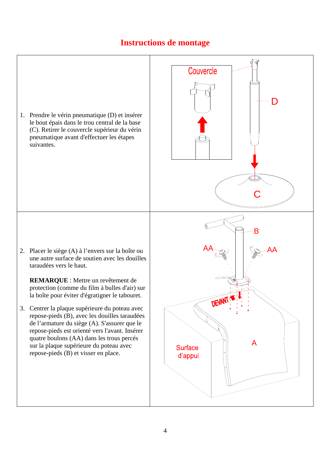## **Instructions de montage**

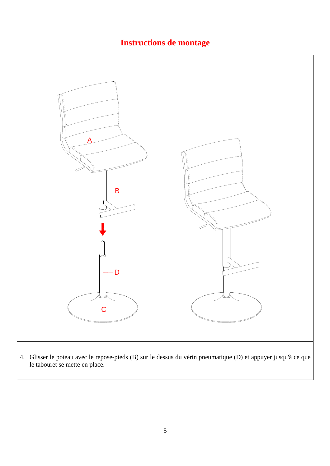## **Instructions de montage**

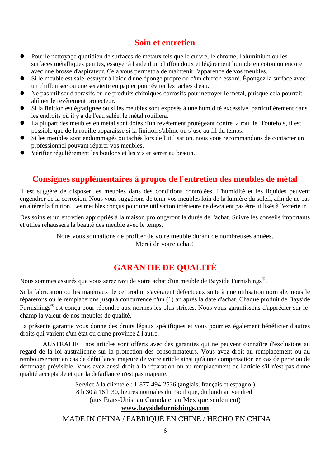## **Soin et entretien**

- Pour le nettoyage quotidien de surfaces de métaux tels que le cuivre, le chrome, l'aluminium ou les surfaces métalliques peintes, essuyer à l'aide d'un chiffon doux et légèrement humide en coton ou encore avec une brosse d'aspirateur. Cela vous permettra de maintenir l'apparence de vos meubles.
- Si le meuble est sale, essuyer à l'aide d'une éponge propre ou d'un chiffon essoré. Épongez la surface avec un chiffon sec ou une serviette en papier pour éviter les taches d'eau.
- Ne pas utiliser d'abrasifs ou de produits chimiques corrosifs pour nettoyer le métal, puisque cela pourrait abîmer le revêtement protecteur.
- Si la finition est égratignée ou si les meubles sont exposés à une humidité excessive, particulièrement dans les endroits où il y a de l'eau salée, le métal rouillera.
- La plupart des meubles en métal sont dotés d'un revêtement protégeant contre la rouille. Toutefois, il est possible que de la rouille apparaisse si la finition s'abîme ou s'use au fil du temps.
- Si les meubles sont endommagés ou tachés lors de l'utilisation, nous vous recommandons de contacter un professionnel pouvant réparer vos meubles.
- Vérifier régulièrement les boulons et les vis et serrer au besoin.

#### **Consignes supplémentaires à propos de l'entretien des meubles de métal**

Il est suggéré de disposer les meubles dans des conditions contrôlées. L'humidité et les liquides peuvent engendrer de la corrosion. Nous vous suggérons de tenir vos meubles loin de la lumière du soleil, afin de ne pas en altérer la finition. Les meubles conçus pour une utilisation intérieure ne devraient pas être utilisés à l'extérieur.

Des soins et un entretien appropriés à la maison prolongeront la durée de l'achat. Suivre les conseils importants et utiles rehaussera la beauté des meuble avec le temps.

> Nous vous souhaitons de profiter de votre meuble durant de nombreuses années. Merci de votre achat!

## **GARANTIE DE QUALITÉ**

Nous sommes assurés que vous serez ravi de votre achat d'un meuble de Bayside Furnishings®.

Si la fabrication ou les matériaux de ce produit s'avéraient défectueux suite à une utilisation normale, nous le réparerons ou le remplacerons jusqu'à concurrence d'un (1) an après la date d'achat. Chaque produit de Bayside Furnishings® est conçu pour répondre aux normes les plus strictes. Nous vous garantissons d'apprécier sur-lechamp la valeur de nos meubles de qualité.

La présente garantie vous donne des droits légaux spécifiques et vous pourriez également bénéficier d'autres droits qui varient d'un état ou d'une province à l'autre.

AUSTRALIE : nos articles sont offerts avec des garanties qui ne peuvent connaître d'exclusions au regard de la loi australienne sur la protection des consommateurs. Vous avez droit au remplacement ou au remboursement en cas de défaillance majeure de votre article ainsi qu'à une compensation en cas de perte ou de dommage prévisible. Vous avez aussi droit à la réparation ou au remplacement de l'article s'il n'est pas d'une qualité acceptable et que la défaillance n'est pas majeure.

> Service à la clientèle : 1-877-494-2536 (anglais, français et espagnol) 8 h 30 à 16 h 30, heures normales du Pacifique, du lundi au vendredi (aux États-Unis, au Canada et au Mexique seulement) **www.baysidefurnishings.com**

#### MADE IN CHINA / FABRIQUÉ EN CHINE / HECHO EN CHINA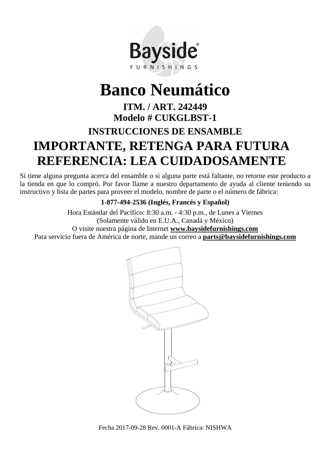

# **Banco Neumático**

## **ITM. / ART. 242449 Modelo # CUKGLBST-1 INSTRUCCIONES DE ENSAMBLE IMPORTANTE, RETENGA PARA FUTURA REFERENCIA: LEA CUIDADOSAMENTE**

Si tiene alguna pregunta acerca del ensamble o si alguna parte está faltante, no retorne este producto a la tienda en que lo compró. Por favor llame a nuestro departamento de ayuda al cliente teniendo su instructivo y lista de partes para proveer el modelo, nombre de parte o el número de fábrica:

#### **1-877-494-2536 (Inglés, Francés y Español)**

Hora Estándar del Pacífico: 8:30 a.m. - 4:30 p.m., de Lunes a Viernes (Solamente válido en E.U.A., Canadá y México) O visite nuestra página de Internet **www.baysidefurnishings.com** Para servicio fuera de América de norte, mande un correo a **parts@baysidefurnishings.com**



Fecha 2017-09-28 Rev. 0001-A Fábrica: NISHWA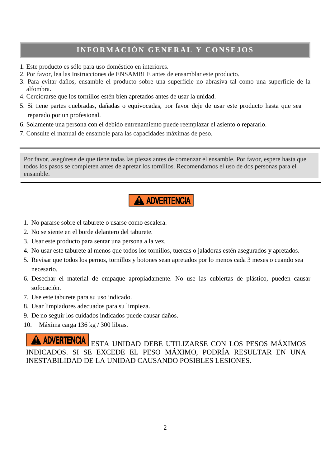## **INFORMACIÓN GENERAL Y CONSEJOS**

1. Este producto es sólo para uso doméstico en interiores.

Ī

- 2. Por favor, lea las Instrucciones de ENSAMBLE antes de ensamblar este producto.
- 3. Para evitar daños, ensamble el producto sobre una superficie no abrasiva tal como una superficie de la alfombra.
- 4. Cerciorarse que los tornillos estén bien apretados antes de usar la unidad.
- 5. Si tiene partes quebradas, dañadas o equivocadas, por favor deje de usar este producto hasta que sea reparado por un profesional.
- 6. Solamente una persona con el debido entrenamiento puede reemplazar el asiento o repararlo.
- 7. Consulte el manual de ensamble para las capacidades máximas de peso.

Por favor, asegúrese de que tiene todas las piezas antes de comenzar el ensamble. Por favor, espere hasta que todos los pasos se completen antes de apretar los tornillos. Recomendamos el uso de dos personas para el ensamble.

## **A ADVERTENCIA**

- 1. No pararse sobre el taburete o usarse como escalera.
- 2. No se siente en el borde delantero del taburete.
- 3. Usar este producto para sentar una persona a la vez.
- 4. No usar este taburete al menos que todos los tornillos, tuercas o jaladoras estén asegurados y apretados.
- 5. Revisar que todos los pernos, tornillos y botones sean apretados por lo menos cada 3 meses o cuando sea necesario.
- 6. Desechar el material de empaque apropiadamente. No use las cubiertas de plástico, pueden causar sofocación.
- 7. Use este taburete para su uso indicado.
- 8. Usar limpiadores adecuados para su limpieza.
- 9. De no seguir los cuidados indicados puede causar daños.
- 10. Máxima carga 136 kg / 300 libras.

A ADVERTENCIA ESTA UNIDAD DEBE UTILIZARSE CON LOS PESOS MÁXIMOS INDICADOS. SI SE EXCEDE EL PESO MÁXIMO, PODRÍA RESULTAR EN UNA INESTABILIDAD DE LA UNIDAD CAUSANDO POSIBLES LESIONES.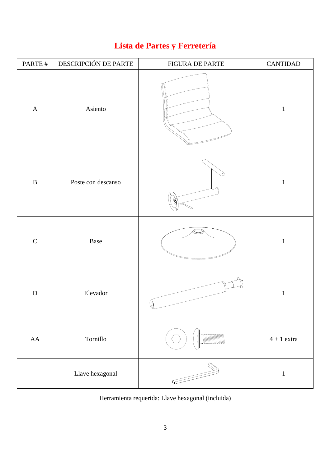## **Lista de Partes y Ferretería**

| PARTE #      | DESCRIPCIÓN DE PARTE                                                                                                                                                                                                                                                                                                                                                                                                                                                                                                                                                                                                                     | FIGURA DE PARTE                                             | <b>CANTIDAD</b> |
|--------------|------------------------------------------------------------------------------------------------------------------------------------------------------------------------------------------------------------------------------------------------------------------------------------------------------------------------------------------------------------------------------------------------------------------------------------------------------------------------------------------------------------------------------------------------------------------------------------------------------------------------------------------|-------------------------------------------------------------|-----------------|
| $\mathbf A$  | Asiento                                                                                                                                                                                                                                                                                                                                                                                                                                                                                                                                                                                                                                  |                                                             | $\mathbf{1}$    |
| $\, {\bf B}$ | Poste con descanso                                                                                                                                                                                                                                                                                                                                                                                                                                                                                                                                                                                                                       |                                                             | $\,1\,$         |
| $\mathsf{C}$ | $\operatorname*{Base}% \left( X\right) \equiv\operatorname*{Base}% \left( X\right) \equiv\operatorname*{Base}% \left( X\right) \equiv\operatorname*{Base}\left( X\right) \equiv\operatorname*{Base}% \left( X\right) \equiv\operatorname*{Base}\left( X\right) \equiv\operatorname*{Base}% \left( X\right) \equiv\operatorname*{Base}\left( X\right) \equiv\operatorname*{Base}% \left( X\right) \equiv\operatorname*{Base}\left( X\right) \equiv\operatorname*{Base}\left( X\right) \equiv\operatorname*{Base}\left( X\right) \equiv\operatorname*{Base}\left( X\right) \equiv\operatorname*{Base}\left( X\right) \equiv\operatorname*$ |                                                             | $\mathbf{1}$    |
| ${\bf D}$    | Elevador                                                                                                                                                                                                                                                                                                                                                                                                                                                                                                                                                                                                                                 | $\bigcircledR$                                              | $\mathbf{1}$    |
| AA           | Tornillo                                                                                                                                                                                                                                                                                                                                                                                                                                                                                                                                                                                                                                 |                                                             | $4 + 1$ extra   |
|              | Llave hexagonal                                                                                                                                                                                                                                                                                                                                                                                                                                                                                                                                                                                                                          | $\frac{1}{\sqrt{2\pi}}\left(1-\frac{1}{\sqrt{2\pi}}\right)$ | $\mathbf{1}$    |

Herramienta requerida: Llave hexagonal (incluida)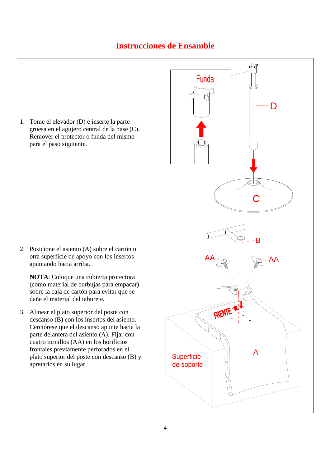## **Instrucciones de Ensamble**

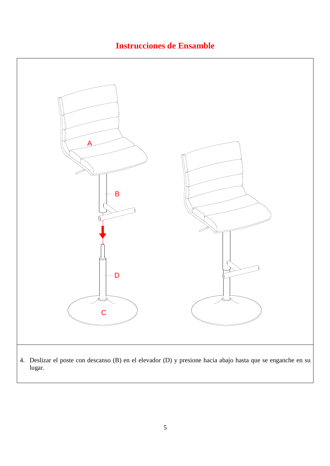## **Instrucciones de Ensamble**

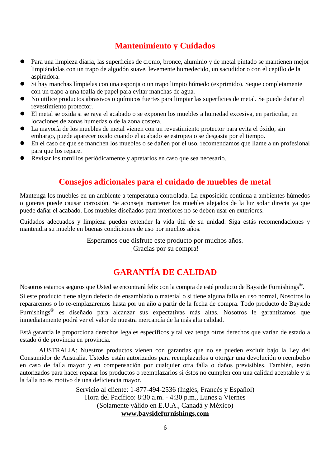## **Mantenimiento y Cuidados**

- Para una limpieza diaria, las superficies de cromo, bronce, aluminio y de metal pintado se mantienen mejor limpiándolas con un trapo de algodón suave, levemente humedecido, un sacudidor o con el cepillo de la aspiradora.
- Si hay manchas límpielas con una esponja o un trapo limpio húmedo (exprimido). Seque completamente con un trapo a una toalla de papel para evitar manchas de agua.
- No utilice productos abrasivos o químicos fuertes para limpiar las superficies de metal. Se puede dañar el revestimiento protector.
- El metal se oxida si se raya el acabado o se exponen los muebles a humedad excesiva, en particular, en locaciones de zonas humedas o de la zona costera.
- La mayoría de los muebles de metal vienen con un revestimiento protector para evita el óxido, sin embargo, puede aparecer oxido cuando el acabado se estropea o se desgasta por el tiempo.
- En el caso de que se manchen los muebles o se dañen por el uso, recomendamos que llame a un profesional para que los repare.
- Revisar los tornillos periódicamente y apretarlos en caso que sea necesario.

#### **Consejos adicionales para el cuidado de muebles de metal**

Mantenga los muebles en un ambiente a temperatura controlada. La exposición continua a ambientes húmedos o goteras puede causar corrosión. Se aconseja mantener los muebles alejados de la luz solar directa ya que puede dañar el acabado. Los muebles diseñados para interiores no se deben usar en exteriores.

Cuidados adecuados y limpieza pueden extender la vida útil de su unidad. Siga estás recomendaciones y mantendra su mueble en buenas condiciones de uso por muchos años.

Esperamos que disfrute este producto por muchos años.

¡Gracias por su compra!

## **GARANTÍA DE CALIDAD**

Nosotros estamos seguros que Usted se encontrará feliz con la compra de esté producto de Bayside Furnishings®.

Si este producto tiene algun defecto de ensamblado o material o si tiene alguna falla en uso normal, Nosotros lo repararemos o lo re-emplazaremos hasta por un año a partir de la fecha de compra. Todo producto de Bayside Furnishings® es diseñado para alcanzar sus expectativas más altas. Nosotros le garantizamos que inmediatamente podrá ver el valor de nuestra mercancía de la más alta calidad.

Está garantía le proporciona derechos legales específicos y tal vez tenga otros derechos que varían de estado a estado ó de provincia en provincia.

AUSTRALIA: Nuestros productos vienen con garantías que no se pueden excluir bajo la Ley del Consumidor de Australia. Ustedes están autorizados para reemplazarlos u otorgar una devolución o reembolso en caso de falla mayor y en compensación por cualquier otra falla o daños previsibles. También, están autorizados para hacer reparar los productos o reemplazarlos si éstos no cumplen con una calidad aceptable y si la falla no es motivo de una deficiencia mayor.

> Servicio al cliente: 1-877-494-2536 (Inglés, Francés y Español) Hora del Pacífico: 8:30 a.m. - 4:30 p.m., Lunes a Viernes (Solamente válido en E.U.A., Canadá y México) **www.baysidefurnishings.com**